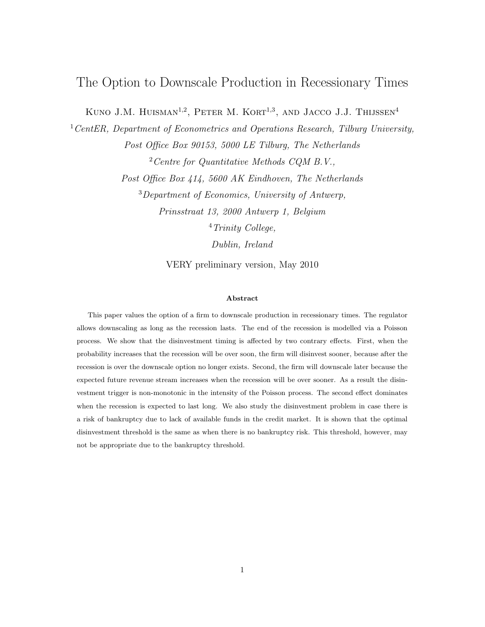# The Option to Downscale Production in Recessionary Times

KUNO J.M. HUISMAN<sup>1,2</sup>, PETER M. KORT<sup>1,3</sup>, AND JACCO J.J. THIJSSEN<sup>4</sup>

<sup>1</sup> CentER, Department of Econometrics and Operations Research, Tilburg University, Post Office Box 90153, 5000 LE Tilburg, The Netherlands  $2$  Centre for Quantitative Methods CQM B.V., Post Office Box 414, 5600 AK Eindhoven, The Netherlands <sup>3</sup>Department of Economics, University of Antwerp, Prinsstraat 13, 2000 Antwerp 1, Belgium <sup>4</sup>Trinity College. Dublin, Ireland

VERY preliminary version, May 2010

#### Abstract

This paper values the option of a firm to downscale production in recessionary times. The regulator allows downscaling as long as the recession lasts. The end of the recession is modelled via a Poisson process. We show that the disinvestment timing is affected by two contrary effects. First, when the probability increases that the recession will be over soon, the firm will disinvest sooner, because after the recession is over the downscale option no longer exists. Second, the firm will downscale later because the expected future revenue stream increases when the recession will be over sooner. As a result the disinvestment trigger is non-monotonic in the intensity of the Poisson process. The second effect dominates when the recession is expected to last long. We also study the disinvestment problem in case there is a risk of bankruptcy due to lack of available funds in the credit market. It is shown that the optimal disinvestment threshold is the same as when there is no bankruptcy risk. This threshold, however, may not be appropriate due to the bankruptcy threshold.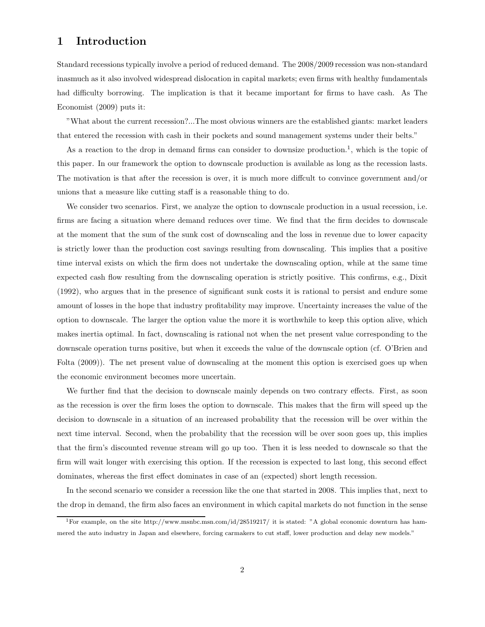### 1 Introduction

Standard recessions typically involve a period of reduced demand. The 2008/2009 recession was non-standard inasmuch as it also involved widespread dislocation in capital markets; even firms with healthy fundamentals had difficulty borrowing. The implication is that it became important for firms to have cash. As The Economist (2009) puts it:

"What about the current recession?...The most obvious winners are the established giants: market leaders that entered the recession with cash in their pockets and sound management systems under their belts."

As a reaction to the drop in demand firms can consider to downsize production.<sup>1</sup>, which is the topic of this paper. In our framework the option to downscale production is available as long as the recession lasts. The motivation is that after the recession is over, it is much more diffcult to convince government and/or unions that a measure like cutting staff is a reasonable thing to do.

We consider two scenarios. First, we analyze the option to downscale production in a usual recession, i.e. firms are facing a situation where demand reduces over time. We find that the firm decides to downscale at the moment that the sum of the sunk cost of downscaling and the loss in revenue due to lower capacity is strictly lower than the production cost savings resulting from downscaling. This implies that a positive time interval exists on which the firm does not undertake the downscaling option, while at the same time expected cash flow resulting from the downscaling operation is strictly positive. This confirms, e.g., Dixit (1992), who argues that in the presence of significant sunk costs it is rational to persist and endure some amount of losses in the hope that industry profitability may improve. Uncertainty increases the value of the option to downscale. The larger the option value the more it is worthwhile to keep this option alive, which makes inertia optimal. In fact, downscaling is rational not when the net present value corresponding to the downscale operation turns positive, but when it exceeds the value of the downscale option (cf. O'Brien and Folta (2009)). The net present value of downscaling at the moment this option is exercised goes up when the economic environment becomes more uncertain.

We further find that the decision to downscale mainly depends on two contrary effects. First, as soon as the recession is over the firm loses the option to downscale. This makes that the firm will speed up the decision to downscale in a situation of an increased probability that the recession will be over within the next time interval. Second, when the probability that the recession will be over soon goes up, this implies that the firm's discounted revenue stream will go up too. Then it is less needed to downscale so that the firm will wait longer with exercising this option. If the recession is expected to last long, this second effect dominates, whereas the first effect dominates in case of an (expected) short length recession.

In the second scenario we consider a recession like the one that started in 2008. This implies that, next to the drop in demand, the firm also faces an environment in which capital markets do not function in the sense

<sup>1</sup>For example, on the site http://www.msnbc.msn.com/id/28519217/ it is stated: "A global economic downturn has hammered the auto industry in Japan and elsewhere, forcing carmakers to cut staff, lower production and delay new models."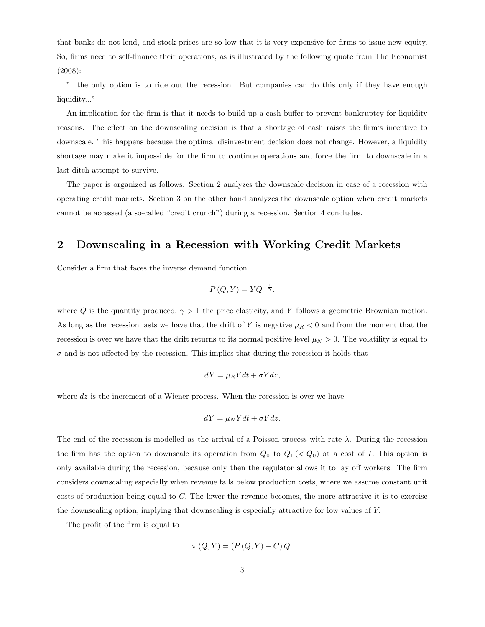that banks do not lend, and stock prices are so low that it is very expensive for firms to issue new equity. So, firms need to self-finance their operations, as is illustrated by the following quote from The Economist (2008):

"...the only option is to ride out the recession. But companies can do this only if they have enough liquidity..."

An implication for the firm is that it needs to build up a cash buffer to prevent bankruptcy for liquidity reasons. The effect on the downscaling decision is that a shortage of cash raises the firm's incentive to downscale. This happens because the optimal disinvestment decision does not change. However, a liquidity shortage may make it impossible for the firm to continue operations and force the firm to downscale in a last-ditch attempt to survive.

The paper is organized as follows. Section 2 analyzes the downscale decision in case of a recession with operating credit markets. Section 3 on the other hand analyzes the downscale option when credit markets cannot be accessed (a so-called "credit crunch") during a recession. Section 4 concludes.

## 2 Downscaling in a Recession with Working Credit Markets

Consider a firm that faces the inverse demand function

$$
P(Q, Y) = YQ^{-\frac{1}{\gamma}},
$$

where Q is the quantity produced,  $\gamma > 1$  the price elasticity, and Y follows a geometric Brownian motion. As long as the recession lasts we have that the drift of Y is negative  $\mu_R < 0$  and from the moment that the recession is over we have that the drift returns to its normal positive level  $\mu_N > 0$ . The volatility is equal to  $\sigma$  and is not affected by the recession. This implies that during the recession it holds that

$$
dY = \mu_R Y dt + \sigma Y dz,
$$

where  $dz$  is the increment of a Wiener process. When the recession is over we have

$$
dY = \mu_N Y dt + \sigma Y dz.
$$

The end of the recession is modelled as the arrival of a Poisson process with rate  $\lambda$ . During the recession the firm has the option to downscale its operation from  $Q_0$  to  $Q_1$  ( $Q_0$ ) at a cost of I. This option is only available during the recession, because only then the regulator allows it to lay off workers. The firm considers downscaling especially when revenue falls below production costs, where we assume constant unit costs of production being equal to C. The lower the revenue becomes, the more attractive it is to exercise the downscaling option, implying that downscaling is especially attractive for low values of Y.

The profit of the firm is equal to

$$
\pi(Q, Y) = (P(Q, Y) - C) Q.
$$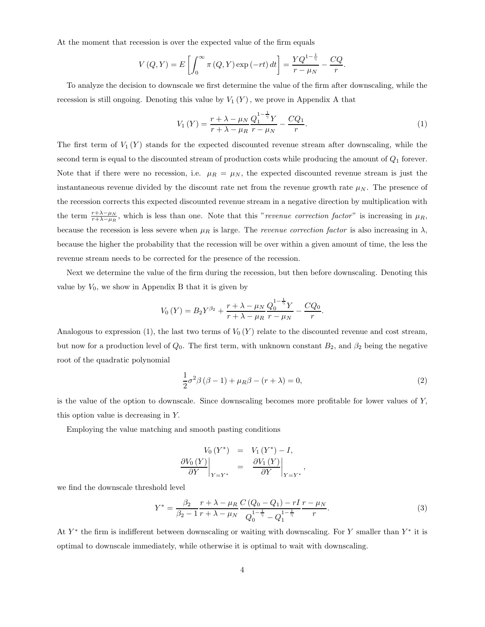At the moment that recession is over the expected value of the firm equals

$$
V(Q, Y) = E\left[\int_0^\infty \pi(Q, Y) \exp(-rt) dt\right] = \frac{YQ^{1-\frac{1}{\gamma}}}{r - \mu_N} - \frac{CQ}{r}.
$$

To analyze the decision to downscale we first determine the value of the firm after downscaling, while the recession is still ongoing. Denoting this value by  $V_1(Y)$ , we prove in Appendix A that

$$
V_1(Y) = \frac{r + \lambda - \mu_N}{r + \lambda - \mu_R} \frac{Q_1^{1 - \frac{1}{\gamma}} Y}{r - \mu_N} - \frac{C Q_1}{r}.
$$
 (1)

The first term of  $V_1(Y)$  stands for the expected discounted revenue stream after downscaling, while the second term is equal to the discounted stream of production costs while producing the amount of  $Q_1$  forever. Note that if there were no recession, i.e.  $\mu_R = \mu_N$ , the expected discounted revenue stream is just the instantaneous revenue divided by the discount rate net from the revenue growth rate  $\mu_N$ . The presence of the recession corrects this expected discounted revenue stream in a negative direction by multiplication with the term  $\frac{r+\lambda-\mu_N}{r+\lambda-\mu_R}$ , which is less than one. Note that this "revenue correction factor" is increasing in  $\mu_R$ , because the recession is less severe when  $\mu_R$  is large. The *revenue correction factor* is also increasing in  $\lambda$ , because the higher the probability that the recession will be over within a given amount of time, the less the revenue stream needs to be corrected for the presence of the recession.

Next we determine the value of the firm during the recession, but then before downscaling. Denoting this value by  $V_0$ , we show in Appendix B that it is given by

$$
V_0(Y) = B_2 Y^{\beta_2} + \frac{r + \lambda - \mu_N}{r + \lambda - \mu_R} \frac{Q_0^{1 - \frac{1}{\gamma}} Y}{r - \mu_N} - \frac{CQ_0}{r}.
$$

Analogous to expression (1), the last two terms of  $V_0(Y)$  relate to the discounted revenue and cost stream, but now for a production level of  $Q_0$ . The first term, with unknown constant  $B_2$ , and  $\beta_2$  being the negative root of the quadratic polynomial

$$
\frac{1}{2}\sigma^2\beta\left(\beta - 1\right) + \mu_R\beta - \left(r + \lambda\right) = 0,\tag{2}
$$

,

is the value of the option to downscale. Since downscaling becomes more profitable for lower values of Y, this option value is decreasing in Y.

Employing the value matching and smooth pasting conditions

$$
V_0(Y^*) = V_1(Y^*) - I,
$$
  
\n
$$
\frac{\partial V_0(Y)}{\partial Y}\Big|_{Y=Y^*} = \frac{\partial V_1(Y)}{\partial Y}\Big|_{Y=Y^*}
$$

we find the downscale threshold level

$$
Y^* = \frac{\beta_2}{\beta_2 - 1} \frac{r + \lambda - \mu_R}{r + \lambda - \mu_N} \frac{C (Q_0 - Q_1) - rI}{Q_0^{1 - \frac{1}{\gamma}} - Q_1^{1 - \frac{1}{\gamma}}} \frac{r - \mu_N}{r}.
$$
(3)

At  $Y^*$  the firm is indifferent between downscaling or waiting with downscaling. For Y smaller than  $Y^*$  it is optimal to downscale immediately, while otherwise it is optimal to wait with downscaling.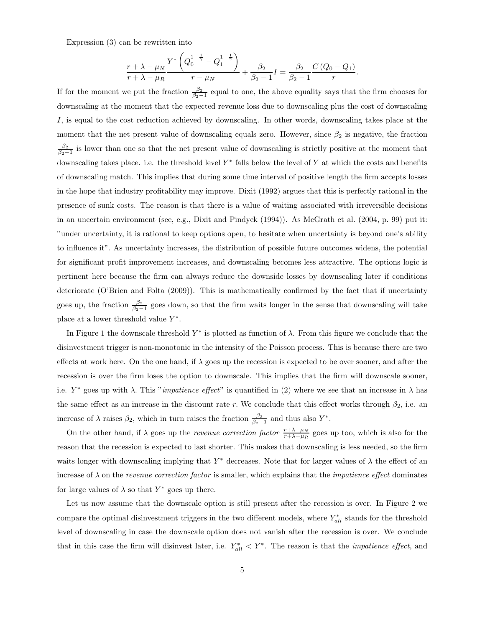Expression (3) can be rewritten into

$$
\frac{r+\lambda-\mu_N}{r+\lambda-\mu_R} \frac{Y^*\left(Q_0^{1-\frac{1}{\gamma}}-Q_1^{1-\frac{1}{\gamma}}\right)}{r-\mu_N} + \frac{\beta_2}{\beta_2-1} I = \frac{\beta_2}{\beta_2-1} \frac{C\left(Q_0-Q_1\right)}{r}.
$$

If for the moment we put the fraction  $\frac{\beta_2}{\beta_2-1}$  equal to one, the above equality says that the firm chooses for downscaling at the moment that the expected revenue loss due to downscaling plus the cost of downscaling I, is equal to the cost reduction achieved by downscaling. In other words, downscaling takes place at the moment that the net present value of downscaling equals zero. However, since  $\beta_2$  is negative, the fraction  $\frac{\beta_2}{\beta_2-1}$  is lower than one so that the net present value of downscaling is strictly positive at the moment that downscaling takes place. i.e. the threshold level  $Y^*$  falls below the level of Y at which the costs and benefits of downscaling match. This implies that during some time interval of positive length the firm accepts losses in the hope that industry profitability may improve. Dixit (1992) argues that this is perfectly rational in the presence of sunk costs. The reason is that there is a value of waiting associated with irreversible decisions in an uncertain environment (see, e.g., Dixit and Pindyck (1994)). As McGrath et al. (2004, p. 99) put it: "under uncertainty, it is rational to keep options open, to hesitate when uncertainty is beyond one's ability to influence it". As uncertainty increases, the distribution of possible future outcomes widens, the potential for significant profit improvement increases, and downscaling becomes less attractive. The options logic is pertinent here because the firm can always reduce the downside losses by downscaling later if conditions deteriorate (O'Brien and Folta (2009)). This is mathematically confirmed by the fact that if uncertainty goes up, the fraction  $\frac{\beta_2}{\beta_2-1}$  goes down, so that the firm waits longer in the sense that downscaling will take place at a lower threshold value  $Y^*$ .

In Figure 1 the downscale threshold  $Y^*$  is plotted as function of  $\lambda$ . From this figure we conclude that the disinvestment trigger is non-monotonic in the intensity of the Poisson process. This is because there are two effects at work here. On the one hand, if  $\lambda$  goes up the recession is expected to be over sooner, and after the recession is over the firm loses the option to downscale. This implies that the firm will downscale sooner, i.e.  $Y^*$  goes up with  $\lambda$ . This "*impatience effect*" is quantified in (2) where we see that an increase in  $\lambda$  has the same effect as an increase in the discount rate r. We conclude that this effect works through  $\beta_2$ , i.e. an increase of  $\lambda$  raises  $\beta_2$ , which in turn raises the fraction  $\frac{\beta_2}{\beta_2-1}$  and thus also Y<sup>\*</sup>.

On the other hand, if  $\lambda$  goes up the *revenue correction factor*  $\frac{r+\lambda-\mu_N}{r+\lambda-\mu_R}$  goes up too, which is also for the reason that the recession is expected to last shorter. This makes that downscaling is less needed, so the firm waits longer with downscaling implying that  $Y^*$  decreases. Note that for larger values of  $\lambda$  the effect of an increase of  $\lambda$  on the revenue correction factor is smaller, which explains that the *impatience effect* dominates for large values of  $\lambda$  so that  $Y^*$  goes up there.

Let us now assume that the downscale option is still present after the recession is over. In Figure 2 we compare the optimal disinvestment triggers in the two different models, where  $Y_{all}^*$  stands for the threshold level of downscaling in case the downscale option does not vanish after the recession is over. We conclude that in this case the firm will disinvest later, i.e.  $Y_{all}^* < Y^*$ . The reason is that the *impatience effect*, and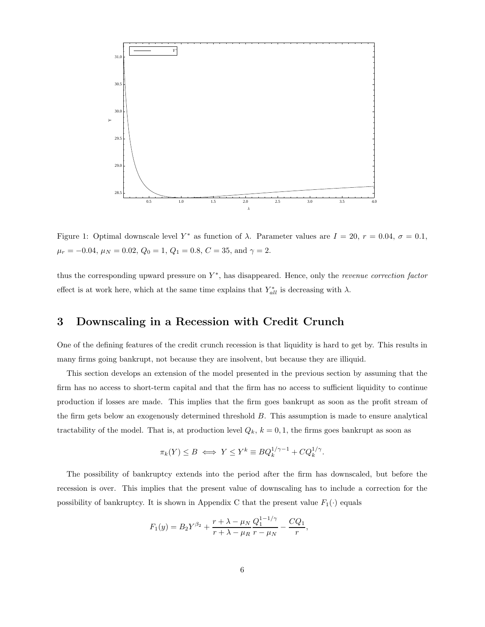

Figure 1: Optimal downscale level  $Y^*$  as function of  $\lambda$ . Parameter values are  $I = 20$ ,  $r = 0.04$ ,  $\sigma = 0.1$ ,  $\mu_r=-0.04,\,\mu_N=0.02,\,Q_0=1,\,Q_1=0.8,\,C=35,$  and  $\gamma=2.$ 

thus the corresponding upward pressure on  $Y^*$ , has disappeared. Hence, only the *revenue correction factor* effect is at work here, which at the same time explains that  $Y_{all}^*$  is decreasing with  $\lambda$ .

### 3 Downscaling in a Recession with Credit Crunch

One of the defining features of the credit crunch recession is that liquidity is hard to get by. This results in many firms going bankrupt, not because they are insolvent, but because they are illiquid.

This section develops an extension of the model presented in the previous section by assuming that the firm has no access to short-term capital and that the firm has no access to sufficient liquidity to continue production if losses are made. This implies that the firm goes bankrupt as soon as the profit stream of the firm gets below an exogenously determined threshold B. This assumption is made to ensure analytical tractability of the model. That is, at production level  $Q_k$ ,  $k = 0, 1$ , the firms goes bankrupt as soon as

$$
\pi_k(Y) \le B \iff Y \le Y^k \equiv BQ_k^{1/\gamma - 1} + CQ_k^{1/\gamma}.
$$

The possibility of bankruptcy extends into the period after the firm has downscaled, but before the recession is over. This implies that the present value of downscaling has to include a correction for the possibility of bankruptcy. It is shown in Appendix C that the present value  $F_1(\cdot)$  equals

$$
F_1(y) = B_2 Y^{\beta_2} + \frac{r + \lambda - \mu_N}{r + \lambda - \mu_R} \frac{Q_1^{1-1/\gamma}}{r - \mu_N} - \frac{CQ_1}{r},
$$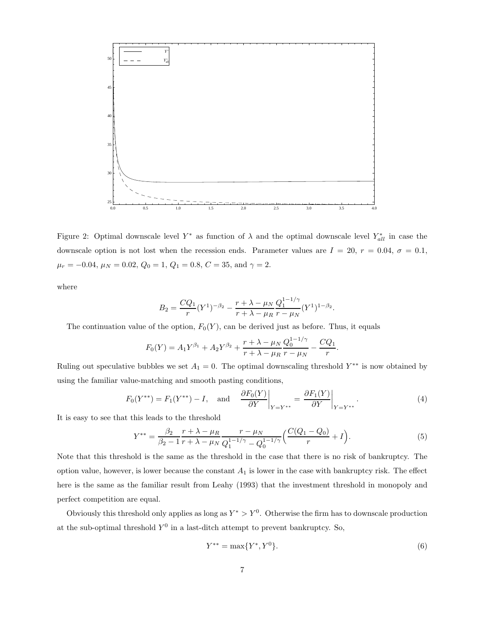

Figure 2: Optimal downscale level  $Y^*$  as function of  $\lambda$  and the optimal downscale level  $Y_{all}^*$  in case the downscale option is not lost when the recession ends. Parameter values are  $I = 20$ ,  $r = 0.04$ ,  $\sigma = 0.1$ ,  $\mu_r = -0.04, \mu_N = 0.02, Q_0 = 1, Q_1 = 0.8, C = 35, \text{ and } \gamma = 2.$ 

where

$$
B_2 = \frac{CQ_1}{r} (Y^1)^{-\beta_2} - \frac{r + \lambda - \mu_N}{r + \lambda - \mu_R} \frac{Q_1^{1-1/\gamma}}{r - \mu_N} (Y^1)^{1-\beta_2}.
$$

The continuation value of the option,  $F_0(Y)$ , can be derived just as before. Thus, it equals

$$
F_0(Y) = A_1 Y^{\beta_1} + A_2 Y^{\beta_2} + \frac{r + \lambda - \mu_N}{r + \lambda - \mu_R} \frac{Q_0^{1 - 1/\gamma}}{r - \mu_N} - \frac{CQ_1}{r}.
$$

Ruling out speculative bubbles we set  $A_1 = 0$ . The optimal downscaling threshold  $Y^{**}$  is now obtained by using the familiar value-matching and smooth pasting conditions,

$$
F_0(Y^{**}) = F_1(Y^{**}) - I
$$
, and  $\frac{\partial F_0(Y)}{\partial Y}\Big|_{Y = Y^{**}} = \frac{\partial F_1(Y)}{\partial Y}\Big|_{Y = Y^{**}}$ . (4)

It is easy to see that this leads to the threshold

$$
Y^{**} = \frac{\beta_2}{\beta_2 - 1} \frac{r + \lambda - \mu_R}{r + \lambda - \mu_N} \frac{r - \mu_N}{Q_1^{1 - 1/\gamma} - Q_0^{1 - 1/\gamma}} \left( \frac{C(Q_1 - Q_0)}{r} + I \right).
$$
(5)

Note that this threshold is the same as the threshold in the case that there is no risk of bankruptcy. The option value, however, is lower because the constant  $A_1$  is lower in the case with bankruptcy risk. The effect here is the same as the familiar result from Leahy (1993) that the investment threshold in monopoly and perfect competition are equal.

Obviously this threshold only applies as long as  $Y^* > Y^0$ . Otherwise the firm has to downscale production at the sub-optimal threshold  $Y^0$  in a last-ditch attempt to prevent bankruptcy. So,

$$
Y^{**} = \max\{Y^*, Y^0\}.\tag{6}
$$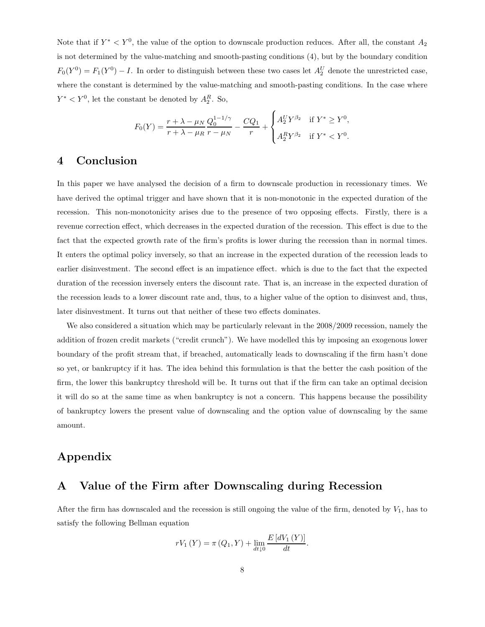Note that if  $Y^* < Y^0$ , the value of the option to downscale production reduces. After all, the constant  $A_2$ is not determined by the value-matching and smooth-pasting conditions (4), but by the boundary condition  $F_0(Y^0) = F_1(Y^0) - I$ . In order to distinguish between these two cases let  $A_2^U$  denote the unrestricted case, where the constant is determined by the value-matching and smooth-pasting conditions. In the case where  $Y^* < Y^0$ , let the constant be denoted by  $A_2^R$ . So,

$$
F_0(Y) = \frac{r + \lambda - \mu_N}{r + \lambda - \mu_R} \frac{Q_0^{1 - 1/\gamma}}{r - \mu_N} - \frac{CQ_1}{r} + \begin{cases} A_2^U Y^{\beta_2} & \text{if } Y^* \ge Y^0, \\ A_2^R Y^{\beta_2} & \text{if } Y^* < Y^0. \end{cases}
$$

### 4 Conclusion

In this paper we have analysed the decision of a firm to downscale production in recessionary times. We have derived the optimal trigger and have shown that it is non-monotonic in the expected duration of the recession. This non-monotonicity arises due to the presence of two opposing effects. Firstly, there is a revenue correction effect, which decreases in the expected duration of the recession. This effect is due to the fact that the expected growth rate of the firm's profits is lower during the recession than in normal times. It enters the optimal policy inversely, so that an increase in the expected duration of the recession leads to earlier disinvestment. The second effect is an impatience effect. which is due to the fact that the expected duration of the recession inversely enters the discount rate. That is, an increase in the expected duration of the recession leads to a lower discount rate and, thus, to a higher value of the option to disinvest and, thus, later disinvestment. It turns out that neither of these two effects dominates.

We also considered a situation which may be particularly relevant in the 2008/2009 recession, namely the addition of frozen credit markets ("credit crunch"). We have modelled this by imposing an exogenous lower boundary of the profit stream that, if breached, automatically leads to downscaling if the firm hasn't done so yet, or bankruptcy if it has. The idea behind this formulation is that the better the cash position of the firm, the lower this bankruptcy threshold will be. It turns out that if the firm can take an optimal decision it will do so at the same time as when bankruptcy is not a concern. This happens because the possibility of bankruptcy lowers the present value of downscaling and the option value of downscaling by the same amount.

# Appendix

### A Value of the Firm after Downscaling during Recession

After the firm has downscaled and the recession is still ongoing the value of the firm, denoted by  $V_1$ , has to satisfy the following Bellman equation

$$
rV_1(Y) = \pi (Q_1, Y) + \lim_{dt \downarrow 0} \frac{E\left[dV_1(Y)\right]}{dt}.
$$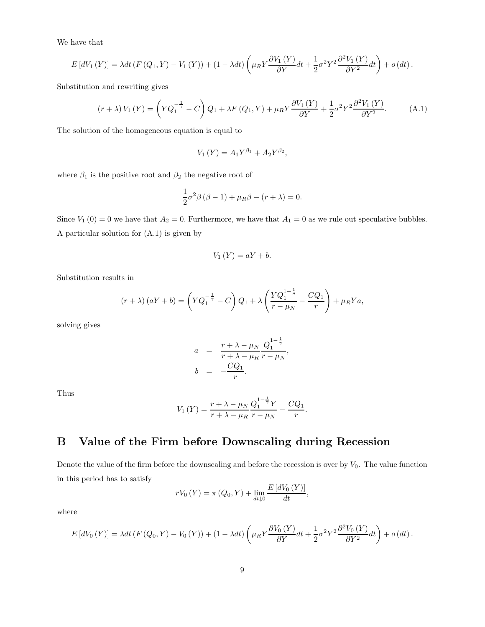We have that

$$
E\left[dV_1\left(Y\right)\right] = \lambda dt \left(F\left(Q_1, Y\right) - V_1\left(Y\right)\right) + \left(1 - \lambda dt\right) \left(\mu_R Y \frac{\partial V_1\left(Y\right)}{\partial Y} dt + \frac{1}{2} \sigma^2 Y^2 \frac{\partial^2 V_1\left(Y\right)}{\partial Y^2} dt\right) + o\left(dt\right).
$$

Substitution and rewriting gives

$$
\left(r+\lambda\right)V_{1}\left(Y\right) = \left(YQ_{1}^{-\frac{1}{\gamma}}-C\right)Q_{1} + \lambda F\left(Q_{1}, Y\right) + \mu_{R}Y\frac{\partial V_{1}\left(Y\right)}{\partial Y} + \frac{1}{2}\sigma^{2}Y^{2}\frac{\partial^{2}V_{1}\left(Y\right)}{\partial Y^{2}}.\tag{A.1}
$$

The solution of the homogeneous equation is equal to

$$
V_1(Y) = A_1 Y^{\beta_1} + A_2 Y^{\beta_2},
$$

where  $\beta_1$  is the positive root and  $\beta_2$  the negative root of

$$
\frac{1}{2}\sigma^2\beta(\beta - 1) + \mu_R\beta - (r + \lambda) = 0.
$$

Since  $V_1(0) = 0$  we have that  $A_2 = 0$ . Furthermore, we have that  $A_1 = 0$  as we rule out speculative bubbles. A particular solution for (A.1) is given by

$$
V_1(Y) = aY + b.
$$

Substitution results in

$$
(r+\lambda) (aY+b) = \left(YQ_1^{-\frac{1}{\gamma}} - C\right)Q_1 + \lambda \left(\frac{YQ_1^{1-\frac{1}{\theta}}}{r-\mu_N} - \frac{CQ_1}{r}\right) + \mu_R Ya,
$$

solving gives

$$
a = \frac{r + \lambda - \mu_N}{r + \lambda - \mu_R} \frac{Q_1^{1 - \frac{1}{\gamma}}}{r - \mu_N},
$$
  

$$
b = -\frac{CQ_1}{r}.
$$

Thus

$$
V_1(Y) = \frac{r + \lambda - \mu_N}{r + \lambda - \mu_R} \frac{Q_1^{1 - \frac{1}{\gamma}} Y}{r - \mu_N} - \frac{CQ_1}{r}.
$$

# B Value of the Firm before Downscaling during Recession

Denote the value of the firm before the downscaling and before the recession is over by  $V_0$ . The value function in this period has to satisfy

$$
rV_0(Y) = \pi(Q_0, Y) + \lim_{dt \downarrow 0} \frac{E\left[dV_0(Y)\right]}{dt},
$$

where

$$
E\left[dV_0\left(Y\right)\right] = \lambda dt \left(F\left(Q_0,Y\right) - V_0\left(Y\right)\right) + \left(1 - \lambda dt\right) \left(\mu_R Y \frac{\partial V_0\left(Y\right)}{\partial Y} dt + \frac{1}{2} \sigma^2 Y^2 \frac{\partial^2 V_0\left(Y\right)}{\partial Y^2} dt\right) + o\left(dt\right).
$$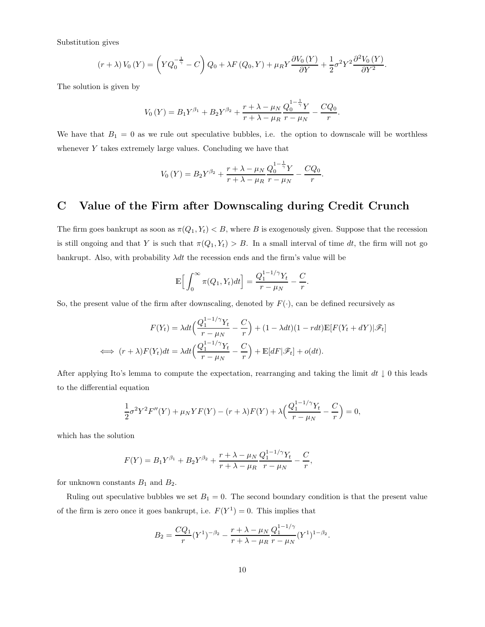Substitution gives

$$
(r+\lambda) V_0(Y) = \left( YQ_0^{-\frac{1}{\gamma}} - C \right) Q_0 + \lambda F(Q_0, Y) + \mu_R Y \frac{\partial V_0(Y)}{\partial Y} + \frac{1}{2} \sigma^2 Y^2 \frac{\partial^2 V_0(Y)}{\partial Y^2}.
$$

The solution is given by

$$
V_0(Y) = B_1 Y^{\beta_1} + B_2 Y^{\beta_2} + \frac{r + \lambda - \mu_N}{r + \lambda - \mu_R} \frac{Q_0^{1 - \frac{1}{\gamma}} Y}{r - \mu_N} - \frac{C Q_0}{r}.
$$

We have that  $B_1 = 0$  as we rule out speculative bubbles, i.e. the option to downscale will be worthless whenever  $Y$  takes extremely large values. Concluding we have that

$$
V_0(Y) = B_2 Y^{\beta_2} + \frac{r + \lambda - \mu_N}{r + \lambda - \mu_R} \frac{Q_0^{1 - \frac{1}{\gamma}} Y}{r - \mu_N} - \frac{C Q_0}{r}.
$$

# C Value of the Firm after Downscaling during Credit Crunch

The firm goes bankrupt as soon as  $\pi(Q_1, Y_t) < B$ , where B is exogenously given. Suppose that the recession is still ongoing and that Y is such that  $\pi(Q_1, Y_t) > B$ . In a small interval of time dt, the firm will not go bankrupt. Also, with probability  $\lambda dt$  the recession ends and the firm's value will be

$$
\mathbb{E}\Big[\int_0^\infty \pi(Q_1, Y_t)dt\Big] = \frac{Q_1^{1-1/\gamma}Y_t}{r-\mu_N} - \frac{C}{r}.
$$

So, the present value of the firm after downscaling, denoted by  $F(\cdot)$ , can be defined recursively as

$$
F(Y_t) = \lambda dt \left( \frac{Q_1^{1-1/\gamma} Y_t}{r - \mu_N} - \frac{C}{r} \right) + (1 - \lambda dt)(1 - r dt) \mathbb{E}[F(Y_t + dY)|\mathcal{F}_t]
$$
  

$$
\iff (r + \lambda)F(Y_t)dt = \lambda dt \left( \frac{Q_1^{1-1/\gamma} Y_t}{r - \mu_N} - \frac{C}{r} \right) + \mathbb{E}[dF|\mathcal{F}_t] + o(dt).
$$

After applying Ito's lemma to compute the expectation, rearranging and taking the limit  $dt \downarrow 0$  this leads to the differential equation

$$
\frac{1}{2}\sigma^2 Y^2 F''(Y) + \mu_N Y F(Y) - (r + \lambda)F(Y) + \lambda \left(\frac{Q_1^{1-1/\gamma} Y_t}{r - \mu_N} - \frac{C}{r}\right) = 0,
$$

which has the solution

$$
F(Y) = B_1 Y^{\beta_1} + B_2 Y^{\beta_2} + \frac{r + \lambda - \mu_N}{r + \lambda - \mu_R} \frac{Q_1^{1 - 1/\gamma} Y_t}{r - \mu_N} - \frac{C}{r},
$$

for unknown constants  $B_1$  and  $B_2$ .

Ruling out speculative bubbles we set  $B_1 = 0$ . The second boundary condition is that the present value of the firm is zero once it goes bankrupt, i.e.  $F(Y^1) = 0$ . This implies that

$$
B_2 = \frac{CQ_1}{r} (Y^1)^{-\beta_2} - \frac{r + \lambda - \mu_N}{r + \lambda - \mu_R} \frac{Q_1^{1-1/\gamma}}{r - \mu_N} (Y^1)^{1-\beta_2}.
$$